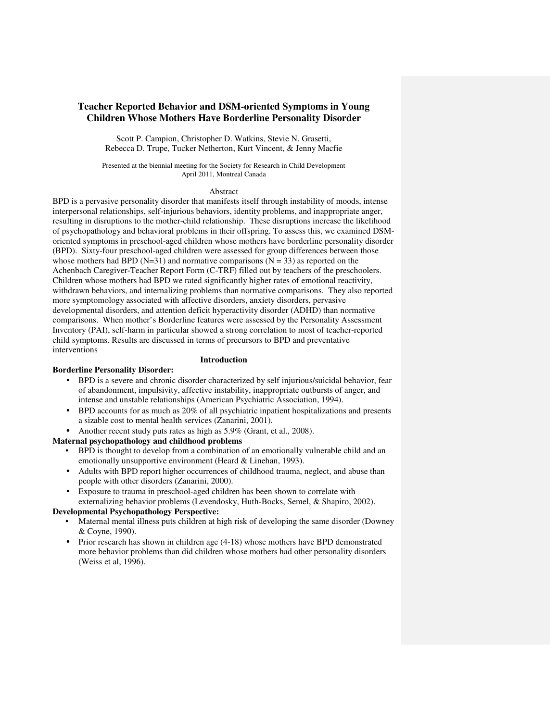# **Teacher Reported Behavior and DSM-oriented Symptoms in Young Children Whose Mothers Have Borderline Personality Disorder**

Scott P. Campion, Christopher D. Watkins, Stevie N. Grasetti, Rebecca D. Trupe, Tucker Netherton, Kurt Vincent, & Jenny Macfie

Presented at the biennial meeting for the Society for Research in Child Development April 2011, Montreal Canada

### Abstract

BPD is a pervasive personality disorder that manifests itself through instability of moods, intense interpersonal relationships, self-injurious behaviors, identity problems, and inappropriate anger, resulting in disruptions to the mother-child relationship. These disruptions increase the likelihood of psychopathology and behavioral problems in their offspring. To assess this, we examined DSMoriented symptoms in preschool-aged children whose mothers have borderline personality disorder (BPD). Sixty-four preschool-aged children were assessed for group differences between those whose mothers had BPD (N=31) and normative comparisons ( $N = 33$ ) as reported on the Achenbach Caregiver-Teacher Report Form (C-TRF) filled out by teachers of the preschoolers. Children whose mothers had BPD we rated significantly higher rates of emotional reactivity, withdrawn behaviors, and internalizing problems than normative comparisons. They also reported more symptomology associated with affective disorders, anxiety disorders, pervasive developmental disorders, and attention deficit hyperactivity disorder (ADHD) than normative comparisons. When mother's Borderline features were assessed by the Personality Assessment Inventory (PAI), self-harm in particular showed a strong correlation to most of teacher-reported child symptoms. Results are discussed in terms of precursors to BPD and preventative interventions

# **Introduction**

# **Borderline Personality Disorder:**

- BPD is a severe and chronic disorder characterized by self injurious/suicidal behavior, fear of abandonment, impulsivity, affective instability, inappropriate outbursts of anger, and intense and unstable relationships (American Psychiatric Association, 1994).
- BPD accounts for as much as 20% of all psychiatric inpatient hospitalizations and presents a sizable cost to mental health services (Zanarini, 2001).
- Another recent study puts rates as high as  $5.9\%$  (Grant, et al., 2008).

# **Maternal psychopathology and childhood problems**

- BPD is thought to develop from a combination of an emotionally vulnerable child and an emotionally unsupportive environment (Heard & Linehan, 1993).
- Adults with BPD report higher occurrences of childhood trauma, neglect, and abuse than people with other disorders (Zanarini, 2000).
- Exposure to trauma in preschool-aged children has been shown to correlate with
- externalizing behavior problems (Levendosky, Huth-Bocks, Semel, & Shapiro, 2002). **Developmental Psychopathology Perspective:**

# • Maternal mental illness puts children at high risk of developing the same disorder (Downey & Coyne, 1990).

• Prior research has shown in children age  $(4-18)$  whose mothers have BPD demonstrated more behavior problems than did children whose mothers had other personality disorders (Weiss et al, 1996).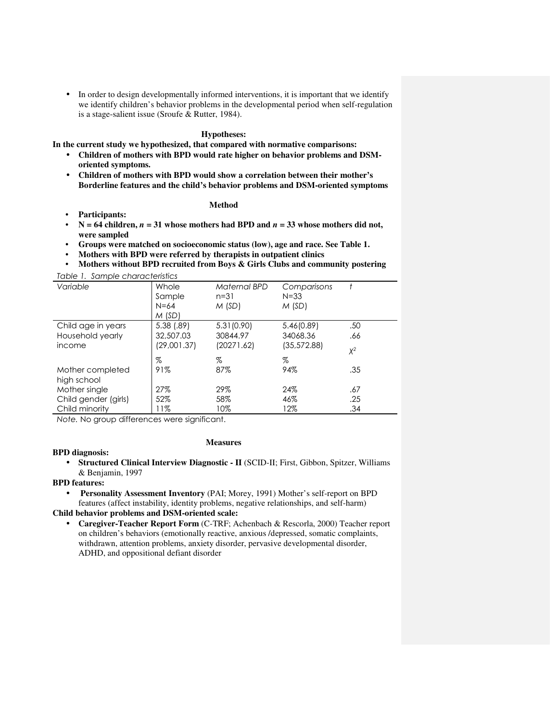• In order to design developmentally informed interventions, it is important that we identify we identify children's behavior problems in the developmental period when self-regulation is a stage-salient issue (Sroufe & Rutter, 1984).

## **Hypotheses:**

**In the current study we hypothesized, that compared with normative comparisons:** 

- **Children of mothers with BPD would rate higher on behavior problems and DSMoriented symptoms.**
- **Children of mothers with BPD would show a correlation between their mother's Borderline features and the child's behavior problems and DSM-oriented symptoms**

## **Method**

- **Participants:**
- $N = 64$  children,  $n = 31$  whose mothers had BPD and  $n = 33$  whose mothers did not, **were sampled**
- **Groups were matched on socioeconomic status (low), age and race. See Table 1.**
- **Mothers with BPD were referred by therapists in outpatient clinics**
- **Mothers without BPD recruited from Boys & Girls Clubs and community postering**  Table 1. Sample characteristics

| Table T. Sample characteristics |       |
|---------------------------------|-------|
| $\frac{1}{\alpha}$              | Mhola |

| Variable                        | Whole<br>Sample<br>$N = 64$<br>M(SD) | Maternal BPD<br>$n = 31$<br>M(SD) | Comparisons<br>$N = 33$<br>M(SD) |       |
|---------------------------------|--------------------------------------|-----------------------------------|----------------------------------|-------|
| Child age in years              | 5.38 (.89)                           | 5.31(0.90)                        | 5.46(0.89)                       | .50   |
| Household yearly                | 32,507.03                            | 30844.97                          | 34068.36                         | .66   |
| income                          | (29,001.37)                          | (20271.62)                        | (35, 572.88)                     | $X^2$ |
|                                 | $\%$                                 | %                                 | %                                |       |
| Mother completed<br>high school | 91%                                  | 87%                               | 94%                              | .35   |
| Mother single                   | 27%                                  | 29%                               | 24%                              | .67   |
| Child gender (girls)            | 52%                                  | 58%                               | 46%                              | .25   |
| Child minority                  | 11%                                  | 10%                               | 12%                              | .34   |
|                                 |                                      |                                   |                                  |       |

Note. No group differences were significant.

#### **Measures**

# **BPD diagnosis:**

• **Structured Clinical Interview Diagnostic - II** (SCID-II; First, Gibbon, Spitzer, Williams & Benjamin, 1997

## **BPD features:**

• **Personality Assessment Inventory** (PAI; Morey, 1991) Mother's self-report on BPD features (affect instability, identity problems, negative relationships, and self-harm)

# **Child behavior problems and DSM-oriented scale:**

• **Caregiver-Teacher Report Form** (C-TRF; Achenbach & Rescorla, 2000) Teacher report on children's behaviors (emotionally reactive, anxious /depressed, somatic complaints, withdrawn, attention problems, anxiety disorder, pervasive developmental disorder, ADHD, and oppositional defiant disorder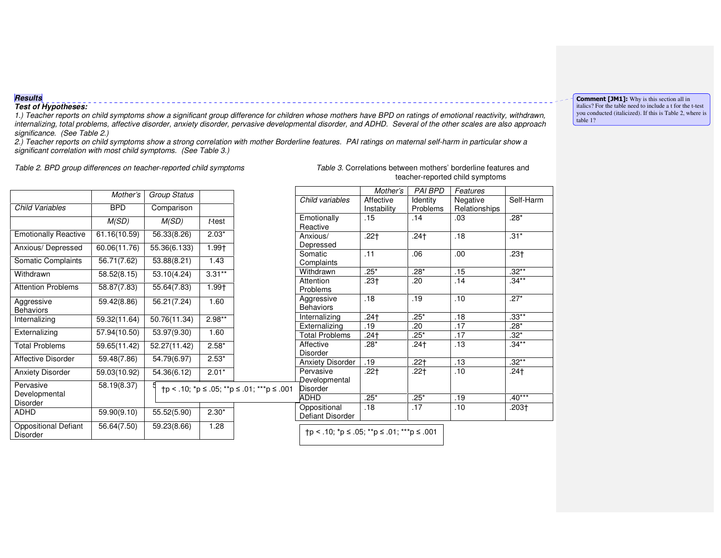# **Results**

#### **Test of Hypotheses:**

 1.) Teacher reports on child symptoms show a significant group difference for children whose mothers have BPD on ratings of emotional reactivity, withdrawn, internalizing, total problems, affective disorder, anxiety disorder, pervasive developmental disorder, and ADHD. Several of the other scales are also approach significance. (See Table 2.)

 2.) Teacher reports on child symptoms show a strong correlation with mother Borderline features. PAI ratings on maternal self-harm in particular show a significant correlation with most child symptoms. (See Table 3.)

Table 2. BPD group differences on teacher-reported child symptoms Table 3. Correlations between mothers' borderline features and

|                                                | Mother's     | <b>Group Status</b> |           |                                              |
|------------------------------------------------|--------------|---------------------|-----------|----------------------------------------------|
| Child Variables                                | <b>BPD</b>   | Comparison          |           |                                              |
|                                                | M(SD)        | M(SD)               | $t$ -test |                                              |
| <b>Emotionally Reactive</b>                    | 61.16(10.59) | 56.33(8.26)         | $2.03*$   |                                              |
| Anxious/ Depressed                             | 60.06(11.76) | 55.36(6.133)        | 1.99†     |                                              |
| Somatic Complaints                             | 56.71(7.62)  | 53.88(8.21)         | 1.43      |                                              |
| Withdrawn                                      | 58.52(8.15)  | 53.10(4.24)         | $3.31**$  |                                              |
| <b>Attention Problems</b>                      | 58.87(7.83)  | 55.64(7.83)         | 1.99†     |                                              |
| Aggressive<br><b>Behaviors</b>                 | 59.42(8.86)  | 56.21(7.24)         | 1.60      |                                              |
| Internalizing                                  | 59.32(11.64) | 50.76(11.34)        | $2.98**$  |                                              |
| Externalizing                                  | 57.94(10.50) | 53.97(9.30)         | 1.60      |                                              |
| <b>Total Problems</b>                          | 59.65(11.42) | 52.27(11.42)        | $2.58*$   |                                              |
| Affective Disorder                             | 59.48(7.86)  | 54.79(6.97)         | $2.53*$   |                                              |
| <b>Anxiety Disorder</b>                        | 59.03(10.92) | 54.36(6.12)         | $2.01*$   |                                              |
| Pervasive<br>Developmental<br>Disorder         | 58.19(8.37)  |                     |           | $tp$ < .10; *p ≤ .05; **p ≤ .01; ***p ≤ .001 |
| <b>ADHD</b>                                    | 59.90(9.10)  | 55.52(5.90)         | $2.30*$   |                                              |
| <b>Oppositional Defiant</b><br><b>Disorder</b> | 56.64(7.50)  | 59.23(8.66)         | 1.28      |                                              |

. teacher-reported child symptoms

|                                        | Mother's                 | <b>PAI BPD</b>       | Features                  |           |
|----------------------------------------|--------------------------|----------------------|---------------------------|-----------|
| Child variables                        | Affective<br>Instability | Identity<br>Problems | Negative<br>Relationships | Self-Harm |
| Emotionally<br>Reactive                | .15                      | .14                  | .03                       | $.28*$    |
| Anxious/<br>Depressed                  | $.22+$                   | $.24+$               | .18                       | $.31*$    |
| Somatic<br>Complaints                  | $\overline{.11}$         | .06                  | .00                       | $.23+$    |
| Withdrawn                              | $.25*$                   | $.28*$               | .15                       | $.32***$  |
| Attention<br>Problems                  | .23†                     | .20                  | .14                       | $.34**$   |
| Aggressive<br><b>Behaviors</b>         | .18                      | .19                  | .10                       | $.27*$    |
| Internalizing                          | $.24+$                   | $.25*$               | .18                       | $.33***$  |
| Externalizing                          | .19                      | .20                  | .17                       | $.28*$    |
| <b>Total Problems</b>                  | .24 <sub>†</sub>         | $.25*$               | .17                       | $.32*$    |
| Affective<br><b>Disorder</b>           | $.28*$                   | .24†                 | .13                       | $.34***$  |
| <b>Anxiety Disorder</b>                | .19                      | $.22 +$              | .13                       | $.32***$  |
| Pervasive<br>Developmental<br>Disorder | .22†                     | .22†                 | .10                       | $.24+$    |
| ADHD                                   | $.25*$                   | $.25*$               | .19                       | $.40***$  |
| Oppositional<br>Defiant Disorder       | .18                      | .17                  | .10                       | .203†     |

†p < .10; \*p ≤ .05; \*\*p ≤ .01; \*\*\*p ≤ .001

Comment [JM1]: Why is this section all in italics? For the table need to include a t for the t-test you conducted (italicized). If this is Table 2, where is table 1?